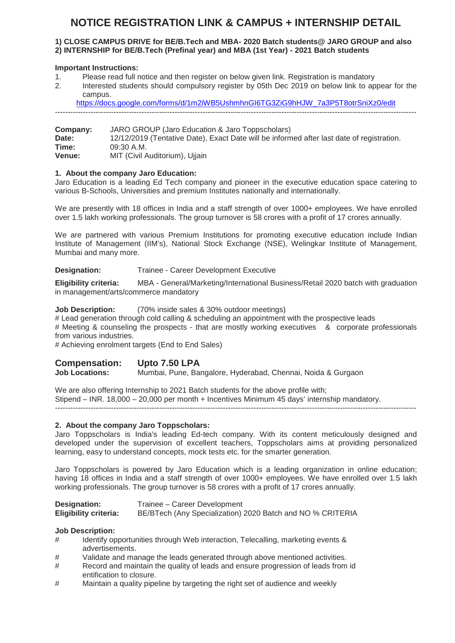### **NOTICE REGISTRATION LINK & CAMPUS + INTERNSHIP DETAIL**

#### **1) CLOSE CAMPUS DRIVE for BE/B.Tech and MBA- 2020 Batch students@ JARO GROUP and also 2) INTERNSHIP for BE/B.Tech (Prefinal year) and MBA (1st Year) - 2021 Batch students**

#### **Important Instructions:**

- 1. Please read full notice and then register on below given link. Registration is mandatory
- 2. Interested students should compulsory register by 05th Dec 2019 on below link to appear for the campus.

https://docs.google.com/forms/d/1m2iWB5UshmhnGI6TG3ZiG9hHJW\_7a3P5T8otrSniXz0/edit

----------------------------------------------------------------------------------------------------------------------------------------------

**Company:** JARO GROUP (Jaro Education & Jaro Toppscholars)<br>Date: 12/12/2019 (Tentative Date). Exact Date will be inform **Date:** 12/12/2019 (Tentative Date), Exact Date will be informed after last date of registration. **Time:** 09:30 A.M.<br> **Venue:** MIT (Civil A **MIT (Civil Auditorium), Ujjain** 

#### **1. About the company Jaro Education:**

Jaro Education is a leading Ed Tech company and pioneer in the executive education space catering to various B-Schools, Universities and premium Institutes nationally and internationally.

We are presently with 18 offices in India and a staff strength of over 1000+ employees. We have enrolled over 1.5 lakh working professionals. The group turnover is 58 crores with a profit of 17 crores annually.

We are partnered with various Premium Institutions for promoting executive education include Indian Institute of Management (IIM's), National Stock Exchange (NSE), Welingkar Institute of Management, Mumbai and many more.

#### **Designation:** Trainee - Career Development Executive

**Eligibility criteria:** MBA - General/Marketing/International Business/Retail 2020 batch with graduation in management/arts/commerce mandatory

**Job Description:** (70% inside sales & 30% outdoor meetings)

# Lead generation through cold calling & scheduling an appointment with the prospective leads # Meeting & counseling the prospects - that are mostly working executives & corporate professionals from various industries.

# Achieving enrolment targets (End to End Sales)

## **Compensation: Upto 7.50 LPA**

**Job Locations:** Mumbai, Pune, Bangalore, Hyderabad, Chennai, Noida & Gurgaon

We are also offering Internship to 2021 Batch students for the above profile with; Stipend – INR. 18,000 – 20,000 per month + Incentives Minimum 45 days' internship mandatory. ----------------------------------------------------------------------------------------------------------------------------------------------

#### **2. About the company Jaro Toppscholars:**

Jaro Toppscholars is India's leading Ed-tech company. With its content meticulously designed and developed under the supervision of excellent teachers, Toppscholars aims at providing personalized learning, easy to understand concepts, mock tests etc. for the smarter generation.

Jaro Toppscholars is powered by Jaro Education which is a leading organization in online education; having 18 offices in India and a staff strength of over 1000+ employees. We have enrolled over 1.5 lakh working professionals. The group turnover is 58 crores with a profit of 17 crores annually.

| <b>Designation:</b>          | Trainee - Career Development                               |
|------------------------------|------------------------------------------------------------|
| <b>Eligibility criteria:</b> | BE/BTech (Any Specialization) 2020 Batch and NO % CRITERIA |

#### **Job Description:**

- # Identify opportunities through Web interaction, Telecalling, marketing events & advertisements.
- # Validate and manage the leads generated through above mentioned activities.
- # Record and maintain the quality of leads and ensure progression of leads from id entification to closure.
- # Maintain a quality pipeline by targeting the right set of audience and weekly